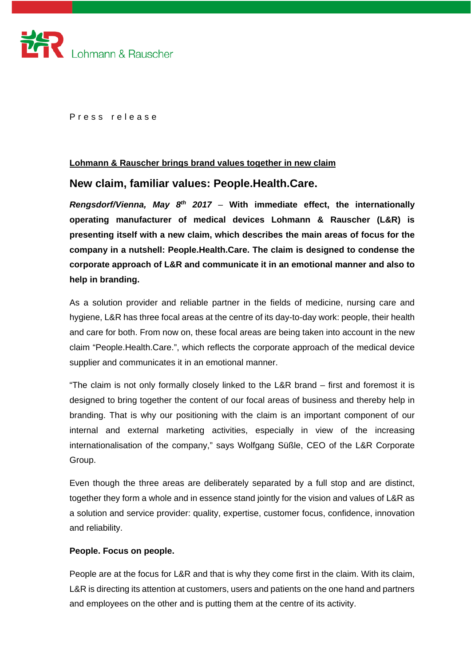

Press release

## **Lohmann & Rauscher brings brand values together in new claim**

# **New claim, familiar values: People.Health.Care.**

*Rengsdorf/Vienna, May 8th 2017 –* **With immediate effect, the internationally operating manufacturer of medical devices Lohmann & Rauscher (L&R) is presenting itself with a new claim, which describes the main areas of focus for the company in a nutshell: People.Health.Care. The claim is designed to condense the corporate approach of L&R and communicate it in an emotional manner and also to help in branding.**

As a solution provider and reliable partner in the fields of medicine, nursing care and hygiene, L&R has three focal areas at the centre of its day-to-day work: people, their health and care for both. From now on, these focal areas are being taken into account in the new claim "People.Health.Care.", which reflects the corporate approach of the medical device supplier and communicates it in an emotional manner.

"The claim is not only formally closely linked to the L&R brand – first and foremost it is designed to bring together the content of our focal areas of business and thereby help in branding. That is why our positioning with the claim is an important component of our internal and external marketing activities, especially in view of the increasing internationalisation of the company," says Wolfgang Süßle, CEO of the L&R Corporate Group.

Even though the three areas are deliberately separated by a full stop and are distinct, together they form a whole and in essence stand jointly for the vision and values of L&R as a solution and service provider: quality, expertise, customer focus, confidence, innovation and reliability.

#### **People. Focus on people.**

People are at the focus for L&R and that is why they come first in the claim. With its claim, L&R is directing its attention at customers, users and patients on the one hand and partners and employees on the other and is putting them at the centre of its activity.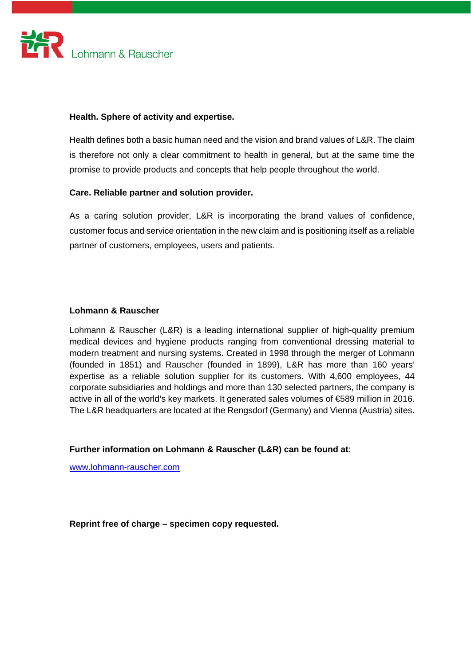

# **Health. Sphere of activity and expertise.**

Health defines both a basic human need and the vision and brand values of L&R. The claim is therefore not only a clear commitment to health in general, but at the same time the promise to provide products and concepts that help people throughout the world.

# **Care. Reliable partner and solution provider.**

As a caring solution provider, L&R is incorporating the brand values of confidence, customer focus and service orientation in the new claim and is positioning itself as a reliable partner of customers, employees, users and patients.

# **Lohmann & Rauscher**

Lohmann & Rauscher (L&R) is a leading international supplier of high-quality premium medical devices and hygiene products ranging from conventional dressing material to modern treatment and nursing systems. Created in 1998 through the merger of Lohmann (founded in 1851) and Rauscher (founded in 1899), L&R has more than 160 years' expertise as a reliable solution supplier for its customers. With 4,600 employees, 44 corporate subsidiaries and holdings and more than 130 selected partners, the company is active in all of the world's key markets. It generated sales volumes of €589 million in 2016. The L&R headquarters are located at the Rengsdorf (Germany) and Vienna (Austria) sites.

**Further information on Lohmann & Rauscher (L&R) can be found at**:

www.lohmann-rauscher.com

**Reprint free of charge – specimen copy requested.**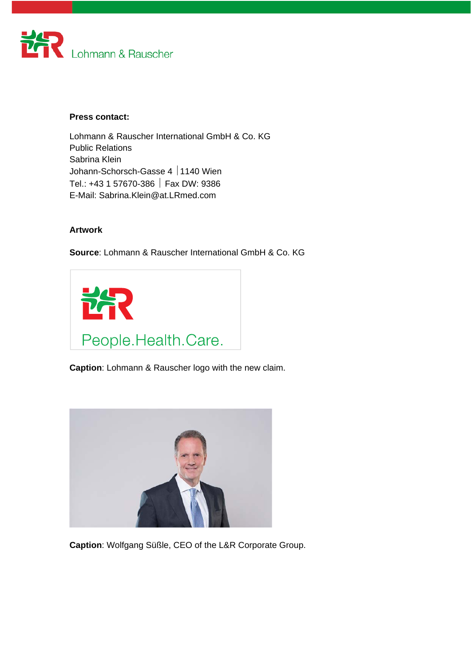

## **Press contact:**

Lohmann & Rauscher International GmbH & Co. KG Public Relations Sabrina Klein Johann-Schorsch-Gasse 4 | 1140 Wien Tel.: +43 1 57670-386 Fax DW: 9386 E-Mail: Sabrina.Klein@at.LRmed.com

## **Artwork**

**Source**: Lohmann & Rauscher International GmbH & Co. KG



**Caption**: Lohmann & Rauscher logo with the new claim.



**Caption**: Wolfgang Süßle, CEO of the L&R Corporate Group.